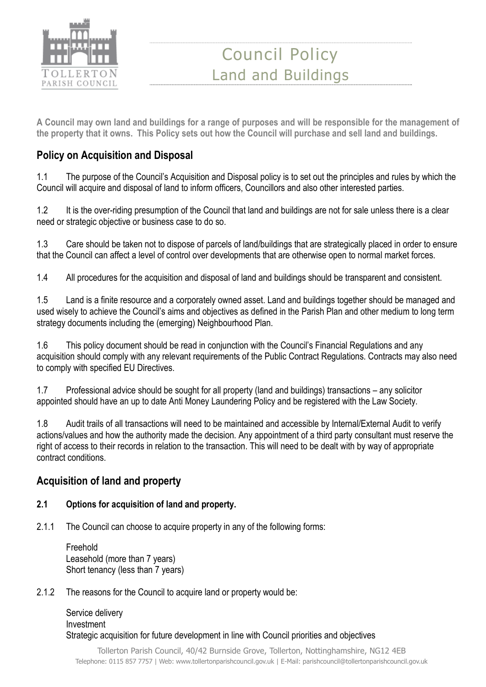

**A Council may own land and buildings for a range of purposes and will be responsible for the management of the property that it owns. This Policy sets out how the Council will purchase and sell land and buildings.** 

## **Policy on Acquisition and Disposal**

1.1 The purpose of the Council's Acquisition and Disposal policy is to set out the principles and rules by which the Council will acquire and disposal of land to inform officers, Councillors and also other interested parties.

1.2 It is the over-riding presumption of the Council that land and buildings are not for sale unless there is a clear need or strategic objective or business case to do so.

1.3 Care should be taken not to dispose of parcels of land/buildings that are strategically placed in order to ensure that the Council can affect a level of control over developments that are otherwise open to normal market forces.

1.4 All procedures for the acquisition and disposal of land and buildings should be transparent and consistent.

1.5 Land is a finite resource and a corporately owned asset. Land and buildings together should be managed and used wisely to achieve the Council's aims and objectives as defined in the Parish Plan and other medium to long term strategy documents including the (emerging) Neighbourhood Plan.

1.6 This policy document should be read in conjunction with the Council's Financial Regulations and any acquisition should comply with any relevant requirements of the Public Contract Regulations. Contracts may also need to comply with specified EU Directives.

1.7 Professional advice should be sought for all property (land and buildings) transactions – any solicitor appointed should have an up to date Anti Money Laundering Policy and be registered with the Law Society.

1.8 Audit trails of all transactions will need to be maintained and accessible by Internal/External Audit to verify actions/values and how the authority made the decision. Any appointment of a third party consultant must reserve the right of access to their records in relation to the transaction. This will need to be dealt with by way of appropriate contract conditions.

## **Acquisition of land and property**

### **2.1 Options for acquisition of land and property.**

2.1.1 The Council can choose to acquire property in any of the following forms:

Freehold Leasehold (more than 7 years) Short tenancy (less than 7 years)

#### 2.1.2 The reasons for the Council to acquire land or property would be:

Service delivery Investment Strategic acquisition for future development in line with Council priorities and objectives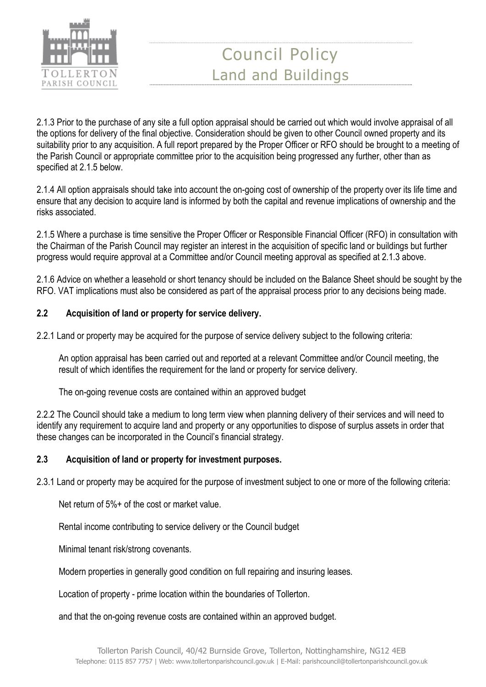

2.1.3 Prior to the purchase of any site a full option appraisal should be carried out which would involve appraisal of all the options for delivery of the final objective. Consideration should be given to other Council owned property and its suitability prior to any acquisition. A full report prepared by the Proper Officer or RFO should be brought to a meeting of the Parish Council or appropriate committee prior to the acquisition being progressed any further, other than as specified at 2.1.5 below.

2.1.4 All option appraisals should take into account the on-going cost of ownership of the property over its life time and ensure that any decision to acquire land is informed by both the capital and revenue implications of ownership and the risks associated.

2.1.5 Where a purchase is time sensitive the Proper Officer or Responsible Financial Officer (RFO) in consultation with the Chairman of the Parish Council may register an interest in the acquisition of specific land or buildings but further progress would require approval at a Committee and/or Council meeting approval as specified at 2.1.3 above.

2.1.6 Advice on whether a leasehold or short tenancy should be included on the Balance Sheet should be sought by the RFO. VAT implications must also be considered as part of the appraisal process prior to any decisions being made.

### **2.2 Acquisition of land or property for service delivery.**

2.2.1 Land or property may be acquired for the purpose of service delivery subject to the following criteria:

An option appraisal has been carried out and reported at a relevant Committee and/or Council meeting, the result of which identifies the requirement for the land or property for service delivery.

The on-going revenue costs are contained within an approved budget

2.2.2 The Council should take a medium to long term view when planning delivery of their services and will need to identify any requirement to acquire land and property or any opportunities to dispose of surplus assets in order that these changes can be incorporated in the Council's financial strategy.

### **2.3 Acquisition of land or property for investment purposes.**

2.3.1 Land or property may be acquired for the purpose of investment subject to one or more of the following criteria:

Net return of 5%+ of the cost or market value.

Rental income contributing to service delivery or the Council budget

Minimal tenant risk/strong covenants.

Modern properties in generally good condition on full repairing and insuring leases.

Location of property - prime location within the boundaries of Tollerton.

and that the on-going revenue costs are contained within an approved budget.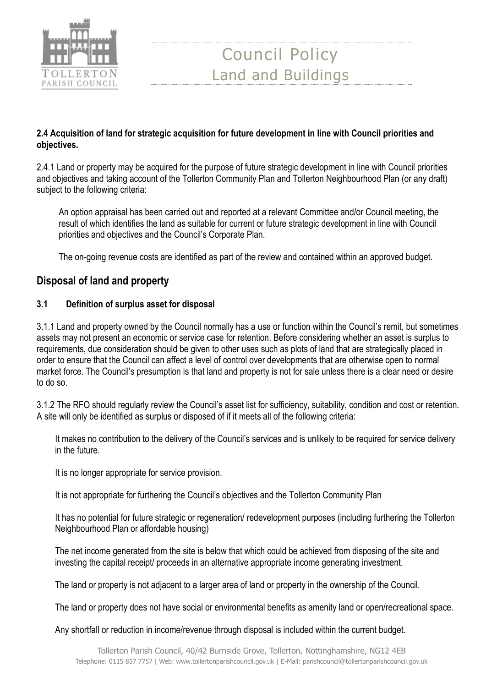

#### **2.4 Acquisition of land for strategic acquisition for future development in line with Council priorities and objectives.**

2.4.1 Land or property may be acquired for the purpose of future strategic development in line with Council priorities and objectives and taking account of the Tollerton Community Plan and Tollerton Neighbourhood Plan (or any draft) subject to the following criteria:

An option appraisal has been carried out and reported at a relevant Committee and/or Council meeting, the result of which identifies the land as suitable for current or future strategic development in line with Council priorities and objectives and the Council's Corporate Plan.

The on-going revenue costs are identified as part of the review and contained within an approved budget.

### **Disposal of land and property**

#### **3.1 Definition of surplus asset for disposal**

3.1.1 Land and property owned by the Council normally has a use or function within the Council's remit, but sometimes assets may not present an economic or service case for retention. Before considering whether an asset is surplus to requirements, due consideration should be given to other uses such as plots of land that are strategically placed in order to ensure that the Council can affect a level of control over developments that are otherwise open to normal market force. The Council's presumption is that land and property is not for sale unless there is a clear need or desire to do so.

3.1.2 The RFO should regularly review the Council's asset list for sufficiency, suitability, condition and cost or retention. A site will only be identified as surplus or disposed of if it meets all of the following criteria:

It makes no contribution to the delivery of the Council's services and is unlikely to be required for service delivery in the future.

It is no longer appropriate for service provision.

It is not appropriate for furthering the Council's objectives and the Tollerton Community Plan

It has no potential for future strategic or regeneration/ redevelopment purposes (including furthering the Tollerton Neighbourhood Plan or affordable housing)

The net income generated from the site is below that which could be achieved from disposing of the site and investing the capital receipt/ proceeds in an alternative appropriate income generating investment.

The land or property is not adjacent to a larger area of land or property in the ownership of the Council.

The land or property does not have social or environmental benefits as amenity land or open/recreational space.

Any shortfall or reduction in income/revenue through disposal is included within the current budget.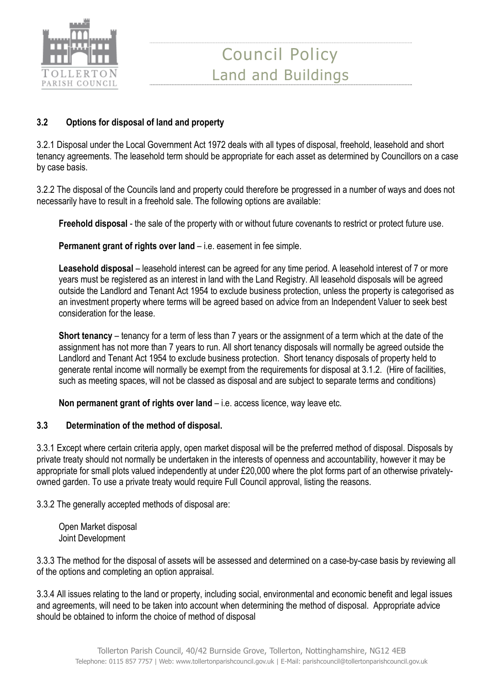

### **3.2 Options for disposal of land and property**

3.2.1 Disposal under the Local Government Act 1972 deals with all types of disposal, freehold, leasehold and short tenancy agreements. The leasehold term should be appropriate for each asset as determined by Councillors on a case by case basis.

3.2.2 The disposal of the Councils land and property could therefore be progressed in a number of ways and does not necessarily have to result in a freehold sale. The following options are available:

**Freehold disposal** - the sale of the property with or without future covenants to restrict or protect future use.

**Permanent grant of rights over land** – i.e. easement in fee simple.

**Leasehold disposal** – leasehold interest can be agreed for any time period. A leasehold interest of 7 or more years must be registered as an interest in land with the Land Registry. All leasehold disposals will be agreed outside the Landlord and Tenant Act 1954 to exclude business protection, unless the property is categorised as an investment property where terms will be agreed based on advice from an Independent Valuer to seek best consideration for the lease.

**Short tenancy** – tenancy for a term of less than 7 years or the assignment of a term which at the date of the assignment has not more than 7 years to run. All short tenancy disposals will normally be agreed outside the Landlord and Tenant Act 1954 to exclude business protection. Short tenancy disposals of property held to generate rental income will normally be exempt from the requirements for disposal at 3.1.2. (Hire of facilities, such as meeting spaces, will not be classed as disposal and are subject to separate terms and conditions)

**Non permanent grant of rights over land** – i.e. access licence, way leave etc.

#### **3.3 Determination of the method of disposal.**

3.3.1 Except where certain criteria apply, open market disposal will be the preferred method of disposal. Disposals by private treaty should not normally be undertaken in the interests of openness and accountability, however it may be appropriate for small plots valued independently at under £20,000 where the plot forms part of an otherwise privatelyowned garden. To use a private treaty would require Full Council approval, listing the reasons.

3.3.2 The generally accepted methods of disposal are:

Open Market disposal Joint Development

3.3.3 The method for the disposal of assets will be assessed and determined on a case-by-case basis by reviewing all of the options and completing an option appraisal.

3.3.4 All issues relating to the land or property, including social, environmental and economic benefit and legal issues and agreements, will need to be taken into account when determining the method of disposal. Appropriate advice should be obtained to inform the choice of method of disposal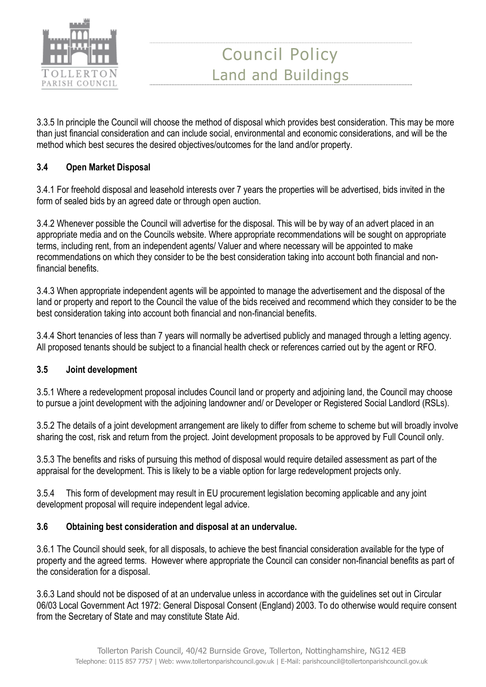

3.3.5 In principle the Council will choose the method of disposal which provides best consideration. This may be more than just financial consideration and can include social, environmental and economic considerations, and will be the method which best secures the desired objectives/outcomes for the land and/or property.

### **3.4 Open Market Disposal**

3.4.1 For freehold disposal and leasehold interests over 7 years the properties will be advertised, bids invited in the form of sealed bids by an agreed date or through open auction.

3.4.2 Whenever possible the Council will advertise for the disposal. This will be by way of an advert placed in an appropriate media and on the Councils website. Where appropriate recommendations will be sought on appropriate terms, including rent, from an independent agents/ Valuer and where necessary will be appointed to make recommendations on which they consider to be the best consideration taking into account both financial and nonfinancial benefits.

3.4.3 When appropriate independent agents will be appointed to manage the advertisement and the disposal of the land or property and report to the Council the value of the bids received and recommend which they consider to be the best consideration taking into account both financial and non-financial benefits.

3.4.4 Short tenancies of less than 7 years will normally be advertised publicly and managed through a letting agency. All proposed tenants should be subject to a financial health check or references carried out by the agent or RFO.

#### **3.5 Joint development**

3.5.1 Where a redevelopment proposal includes Council land or property and adjoining land, the Council may choose to pursue a joint development with the adjoining landowner and/ or Developer or Registered Social Landlord (RSLs).

3.5.2 The details of a joint development arrangement are likely to differ from scheme to scheme but will broadly involve sharing the cost, risk and return from the project. Joint development proposals to be approved by Full Council only.

3.5.3 The benefits and risks of pursuing this method of disposal would require detailed assessment as part of the appraisal for the development. This is likely to be a viable option for large redevelopment projects only.

3.5.4 This form of development may result in EU procurement legislation becoming applicable and any joint development proposal will require independent legal advice.

#### **3.6 Obtaining best consideration and disposal at an undervalue.**

3.6.1 The Council should seek, for all disposals, to achieve the best financial consideration available for the type of property and the agreed terms. However where appropriate the Council can consider non-financial benefits as part of the consideration for a disposal.

3.6.3 Land should not be disposed of at an undervalue unless in accordance with the guidelines set out in Circular 06/03 Local Government Act 1972: General Disposal Consent (England) 2003. To do otherwise would require consent from the Secretary of State and may constitute State Aid.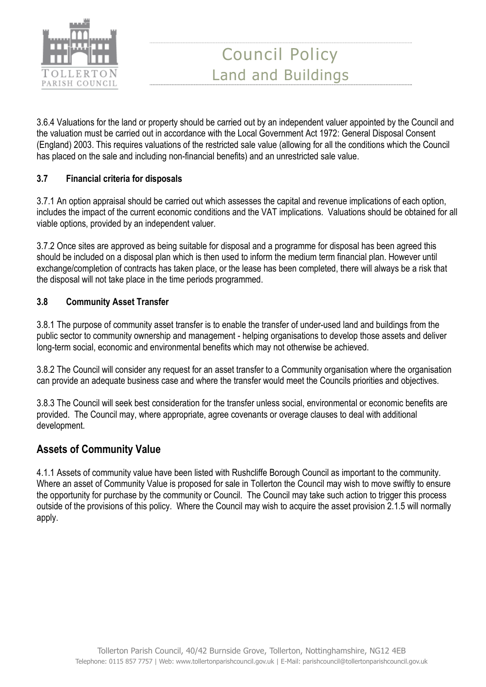

3.6.4 Valuations for the land or property should be carried out by an independent valuer appointed by the Council and the valuation must be carried out in accordance with the Local Government Act 1972: General Disposal Consent (England) 2003. This requires valuations of the restricted sale value (allowing for all the conditions which the Council has placed on the sale and including non-financial benefits) and an unrestricted sale value.

### **3.7 Financial criteria for disposals**

3.7.1 An option appraisal should be carried out which assesses the capital and revenue implications of each option, includes the impact of the current economic conditions and the VAT implications. Valuations should be obtained for all viable options, provided by an independent valuer.

3.7.2 Once sites are approved as being suitable for disposal and a programme for disposal has been agreed this should be included on a disposal plan which is then used to inform the medium term financial plan. However until exchange/completion of contracts has taken place, or the lease has been completed, there will always be a risk that the disposal will not take place in the time periods programmed.

### **3.8 Community Asset Transfer**

3.8.1 The purpose of community asset transfer is to enable the transfer of under-used land and buildings from the public sector to community ownership and management - helping organisations to develop those assets and deliver long-term social, economic and environmental benefits which may not otherwise be achieved.

3.8.2 The Council will consider any request for an asset transfer to a Community organisation where the organisation can provide an adequate business case and where the transfer would meet the Councils priorities and objectives.

3.8.3 The Council will seek best consideration for the transfer unless social, environmental or economic benefits are provided. The Council may, where appropriate, agree covenants or overage clauses to deal with additional development.

## **Assets of Community Value**

4.1.1 Assets of community value have been listed with Rushcliffe Borough Council as important to the community. Where an asset of Community Value is proposed for sale in Tollerton the Council may wish to move swiftly to ensure the opportunity for purchase by the community or Council. The Council may take such action to trigger this process outside of the provisions of this policy. Where the Council may wish to acquire the asset provision 2.1.5 will normally apply.